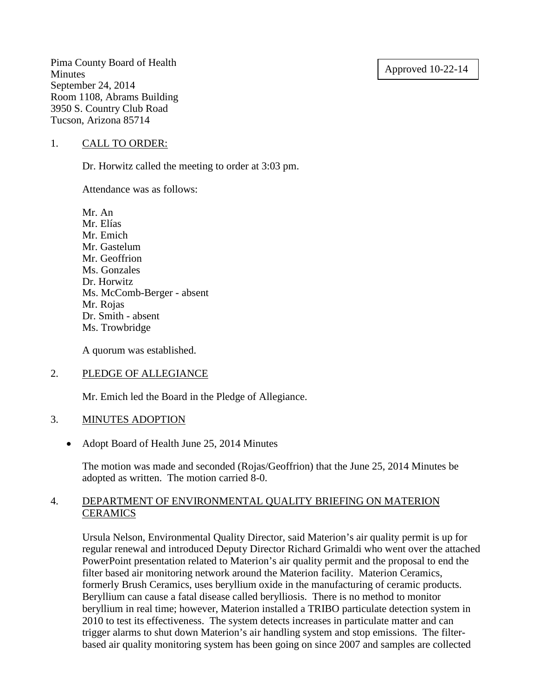# Approved 10-22-14

Pima County Board of Health **Minutes** September 24, 2014 Room 1108, Abrams Building 3950 S. Country Club Road Tucson, Arizona 85714

#### 1. CALL TO ORDER:

Dr. Horwitz called the meeting to order at 3:03 pm.

Attendance was as follows:

Mr. An Mr. Elías Mr. Emich Mr. Gastelum Mr. Geoffrion Ms. Gonzales Dr. Horwitz Ms. McComb-Berger - absent Mr. Rojas Dr. Smith - absent Ms. Trowbridge

A quorum was established.

# 2. PLEDGE OF ALLEGIANCE

Mr. Emich led the Board in the Pledge of Allegiance.

# 3. MINUTES ADOPTION

• Adopt Board of Health June 25, 2014 Minutes

The motion was made and seconded (Rojas/Geoffrion) that the June 25, 2014 Minutes be adopted as written. The motion carried 8-0.

# 4. DEPARTMENT OF ENVIRONMENTAL QUALITY BRIEFING ON MATERION **CERAMICS**

Ursula Nelson, Environmental Quality Director, said Materion's air quality permit is up for regular renewal and introduced Deputy Director Richard Grimaldi who went over the attached PowerPoint presentation related to Materion's air quality permit and the proposal to end the filter based air monitoring network around the Materion facility. Materion Ceramics, formerly Brush Ceramics, uses beryllium oxide in the manufacturing of ceramic products. Beryllium can cause a fatal disease called berylliosis. There is no method to monitor beryllium in real time; however, Materion installed a TRIBO particulate detection system in 2010 to test its effectiveness. The system detects increases in particulate matter and can trigger alarms to shut down Materion's air handling system and stop emissions. The filterbased air quality monitoring system has been going on since 2007 and samples are collected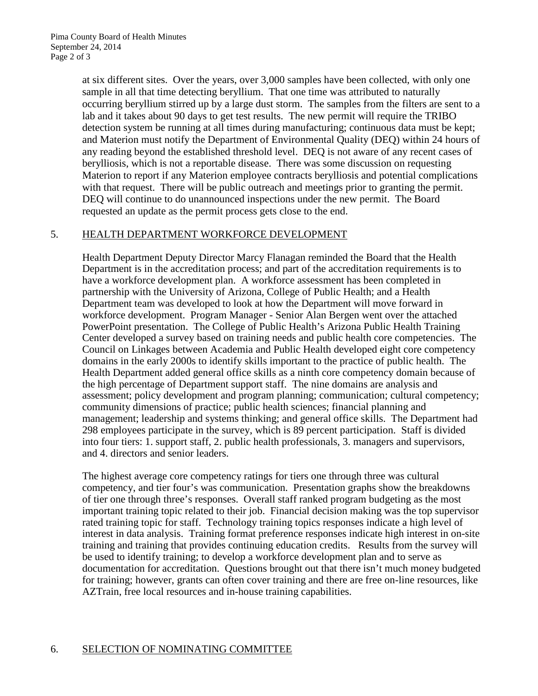at six different sites. Over the years, over 3,000 samples have been collected, with only one sample in all that time detecting beryllium. That one time was attributed to naturally occurring beryllium stirred up by a large dust storm. The samples from the filters are sent to a lab and it takes about 90 days to get test results. The new permit will require the TRIBO detection system be running at all times during manufacturing; continuous data must be kept; and Materion must notify the Department of Environmental Quality (DEQ) within 24 hours of any reading beyond the established threshold level. DEQ is not aware of any recent cases of berylliosis, which is not a reportable disease. There was some discussion on requesting Materion to report if any Materion employee contracts berylliosis and potential complications with that request. There will be public outreach and meetings prior to granting the permit. DEQ will continue to do unannounced inspections under the new permit. The Board requested an update as the permit process gets close to the end.

# 5. HEALTH DEPARTMENT WORKFORCE DEVELOPMENT

Health Department Deputy Director Marcy Flanagan reminded the Board that the Health Department is in the accreditation process; and part of the accreditation requirements is to have a workforce development plan. A workforce assessment has been completed in partnership with the University of Arizona, College of Public Health; and a Health Department team was developed to look at how the Department will move forward in workforce development. Program Manager - Senior Alan Bergen went over the attached PowerPoint presentation. The College of Public Health's Arizona Public Health Training Center developed a survey based on training needs and public health core competencies. The Council on Linkages between Academia and Public Health developed eight core competency domains in the early 2000s to identify skills important to the practice of public health. The Health Department added general office skills as a ninth core competency domain because of the high percentage of Department support staff. The nine domains are analysis and assessment; policy development and program planning; communication; cultural competency; community dimensions of practice; public health sciences; financial planning and management; leadership and systems thinking; and general office skills. The Department had 298 employees participate in the survey, which is 89 percent participation. Staff is divided into four tiers: 1. support staff, 2. public health professionals, 3. managers and supervisors, and 4. directors and senior leaders.

The highest average core competency ratings for tiers one through three was cultural competency, and tier four's was communication. Presentation graphs show the breakdowns of tier one through three's responses. Overall staff ranked program budgeting as the most important training topic related to their job. Financial decision making was the top supervisor rated training topic for staff. Technology training topics responses indicate a high level of interest in data analysis. Training format preference responses indicate high interest in on-site training and training that provides continuing education credits. Results from the survey will be used to identify training; to develop a workforce development plan and to serve as documentation for accreditation. Questions brought out that there isn't much money budgeted for training; however, grants can often cover training and there are free on-line resources, like AZTrain, free local resources and in-house training capabilities.

# 6. SELECTION OF NOMINATING COMMITTEE